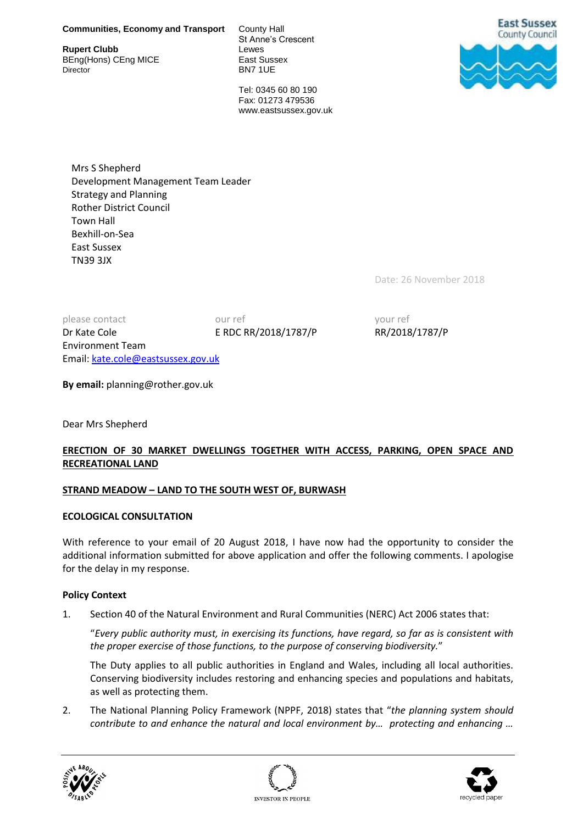**Rupert Clubb** BEng(Hons) CEng MICE East Sussex

St Anne's Crescent BN7 1UE



Tel: 0345 60 80 190 Fax: 01273 479536 www.eastsussex.gov.uk

Mrs S Shepherd Development Management Team Leader Strategy and Planning Rother District Council Town Hall Bexhill-on-Sea East Sussex TN39 3JX

Date: 26 November 2018

please contact our ref and your ref your ref Dr Kate Cole E RDC RR/2018/1787/P RR/2018/1787/P Environment Team Email[: kate.cole@eastsussex.gov.uk](mailto:kate.cole@eastsussex.gov.uk)

**By email:** planning@rother.gov.uk

Dear Mrs Shepherd

# **ERECTION OF 30 MARKET DWELLINGS TOGETHER WITH ACCESS, PARKING, OPEN SPACE AND RECREATIONAL LAND**

### **STRAND MEADOW – LAND TO THE SOUTH WEST OF, BURWASH**

### **ECOLOGICAL CONSULTATION**

With reference to your email of 20 August 2018, I have now had the opportunity to consider the additional information submitted for above application and offer the following comments. I apologise for the delay in my response.

### **Policy Context**

1. Section 40 of the Natural Environment and Rural Communities (NERC) Act 2006 states that:

"*Every public authority must, in exercising its functions, have regard, so far as is consistent with the proper exercise of those functions, to the purpose of conserving biodiversity.*"

The Duty applies to all public authorities in England and Wales, including all local authorities. Conserving biodiversity includes restoring and enhancing species and populations and habitats, as well as protecting them.

2. The National Planning Policy Framework (NPPF, 2018) states that "*the planning system should contribute to and enhance the natural and local environment by… protecting and enhancing …* 





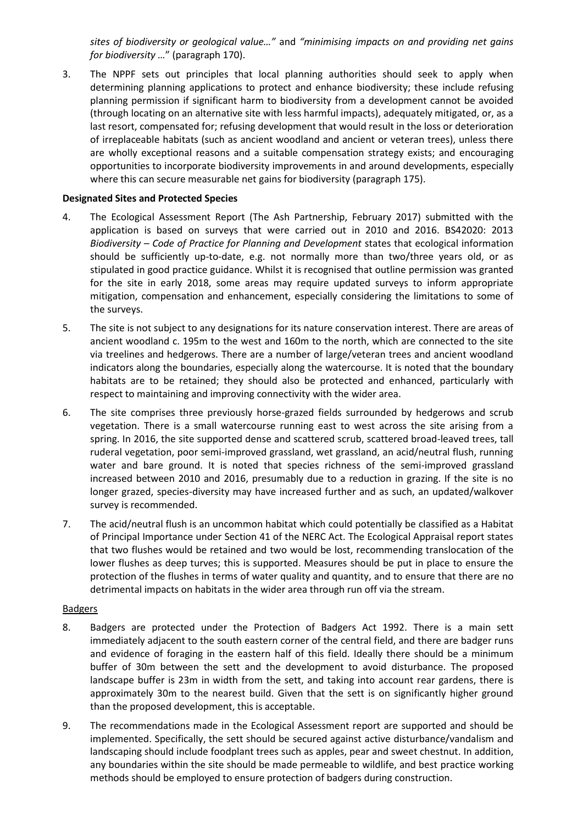*sites of biodiversity or geological value…"* and *"minimising impacts on and providing net gains for biodiversity …*" (paragraph 170).

3. The NPPF sets out principles that local planning authorities should seek to apply when determining planning applications to protect and enhance biodiversity; these include refusing planning permission if significant harm to biodiversity from a development cannot be avoided (through locating on an alternative site with less harmful impacts), adequately mitigated, or, as a last resort, compensated for; refusing development that would result in the loss or deterioration of irreplaceable habitats (such as ancient woodland and ancient or veteran trees), unless there are wholly exceptional reasons and a suitable compensation strategy exists; and encouraging opportunities to incorporate biodiversity improvements in and around developments, especially where this can secure measurable net gains for biodiversity (paragraph 175).

### **Designated Sites and Protected Species**

- 4. The Ecological Assessment Report (The Ash Partnership, February 2017) submitted with the application is based on surveys that were carried out in 2010 and 2016. BS42020: 2013 *Biodiversity – Code of Practice for Planning and Development* states that ecological information should be sufficiently up-to-date, e.g. not normally more than two/three years old, or as stipulated in good practice guidance. Whilst it is recognised that outline permission was granted for the site in early 2018, some areas may require updated surveys to inform appropriate mitigation, compensation and enhancement, especially considering the limitations to some of the surveys.
- 5. The site is not subject to any designations for its nature conservation interest. There are areas of ancient woodland c. 195m to the west and 160m to the north, which are connected to the site via treelines and hedgerows. There are a number of large/veteran trees and ancient woodland indicators along the boundaries, especially along the watercourse. It is noted that the boundary habitats are to be retained; they should also be protected and enhanced, particularly with respect to maintaining and improving connectivity with the wider area.
- 6. The site comprises three previously horse-grazed fields surrounded by hedgerows and scrub vegetation. There is a small watercourse running east to west across the site arising from a spring. In 2016, the site supported dense and scattered scrub, scattered broad-leaved trees, tall ruderal vegetation, poor semi-improved grassland, wet grassland, an acid/neutral flush, running water and bare ground. It is noted that species richness of the semi-improved grassland increased between 2010 and 2016, presumably due to a reduction in grazing. If the site is no longer grazed, species-diversity may have increased further and as such, an updated/walkover survey is recommended.
- 7. The acid/neutral flush is an uncommon habitat which could potentially be classified as a Habitat of Principal Importance under Section 41 of the NERC Act. The Ecological Appraisal report states that two flushes would be retained and two would be lost, recommending translocation of the lower flushes as deep turves; this is supported. Measures should be put in place to ensure the protection of the flushes in terms of water quality and quantity, and to ensure that there are no detrimental impacts on habitats in the wider area through run off via the stream.

### Badgers

- 8. Badgers are protected under the Protection of Badgers Act 1992. There is a main sett immediately adjacent to the south eastern corner of the central field, and there are badger runs and evidence of foraging in the eastern half of this field. Ideally there should be a minimum buffer of 30m between the sett and the development to avoid disturbance. The proposed landscape buffer is 23m in width from the sett, and taking into account rear gardens, there is approximately 30m to the nearest build. Given that the sett is on significantly higher ground than the proposed development, this is acceptable.
- 9. The recommendations made in the Ecological Assessment report are supported and should be implemented. Specifically, the sett should be secured against active disturbance/vandalism and landscaping should include foodplant trees such as apples, pear and sweet chestnut. In addition, any boundaries within the site should be made permeable to wildlife, and best practice working methods should be employed to ensure protection of badgers during construction.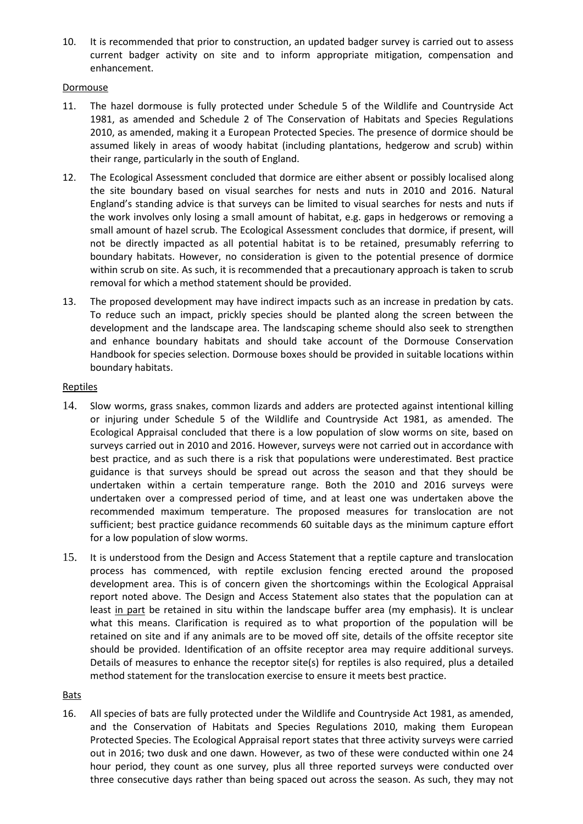10. It is recommended that prior to construction, an updated badger survey is carried out to assess current badger activity on site and to inform appropriate mitigation, compensation and enhancement.

### Dormouse

- 11. The hazel dormouse is fully protected under Schedule 5 of the Wildlife and Countryside Act 1981, as amended and Schedule 2 of The Conservation of Habitats and Species Regulations 2010, as amended, making it a European Protected Species. The presence of dormice should be assumed likely in areas of woody habitat (including plantations, hedgerow and scrub) within their range, particularly in the south of England.
- 12. The Ecological Assessment concluded that dormice are either absent or possibly localised along the site boundary based on visual searches for nests and nuts in 2010 and 2016. Natural England's standing advice is that surveys can be limited to visual searches for nests and nuts if the work involves only losing a small amount of habitat, e.g. gaps in hedgerows or removing a small amount of hazel scrub. The Ecological Assessment concludes that dormice, if present, will not be directly impacted as all potential habitat is to be retained, presumably referring to boundary habitats. However, no consideration is given to the potential presence of dormice within scrub on site. As such, it is recommended that a precautionary approach is taken to scrub removal for which a method statement should be provided.
- 13. The proposed development may have indirect impacts such as an increase in predation by cats. To reduce such an impact, prickly species should be planted along the screen between the development and the landscape area. The landscaping scheme should also seek to strengthen and enhance boundary habitats and should take account of the Dormouse Conservation Handbook for species selection. Dormouse boxes should be provided in suitable locations within boundary habitats.

## Reptiles

- 14. Slow worms, grass snakes, common lizards and adders are protected against intentional killing or injuring under Schedule 5 of the Wildlife and Countryside Act 1981, as amended. The Ecological Appraisal concluded that there is a low population of slow worms on site, based on surveys carried out in 2010 and 2016. However, surveys were not carried out in accordance with best practice, and as such there is a risk that populations were underestimated. Best practice guidance is that surveys should be spread out across the season and that they should be undertaken within a certain temperature range. Both the 2010 and 2016 surveys were undertaken over a compressed period of time, and at least one was undertaken above the recommended maximum temperature. The proposed measures for translocation are not sufficient; best practice guidance recommends 60 suitable days as the minimum capture effort for a low population of slow worms.
- 15. It is understood from the Design and Access Statement that a reptile capture and translocation process has commenced, with reptile exclusion fencing erected around the proposed development area. This is of concern given the shortcomings within the Ecological Appraisal report noted above. The Design and Access Statement also states that the population can at least in part be retained in situ within the landscape buffer area (my emphasis). It is unclear what this means. Clarification is required as to what proportion of the population will be retained on site and if any animals are to be moved off site, details of the offsite receptor site should be provided. Identification of an offsite receptor area may require additional surveys. Details of measures to enhance the receptor site(s) for reptiles is also required, plus a detailed method statement for the translocation exercise to ensure it meets best practice.

## **Bats**

16. All species of bats are fully protected under the Wildlife and Countryside Act 1981, as amended, and the Conservation of Habitats and Species Regulations 2010, making them European Protected Species. The Ecological Appraisal report states that three activity surveys were carried out in 2016; two dusk and one dawn. However, as two of these were conducted within one 24 hour period, they count as one survey, plus all three reported surveys were conducted over three consecutive days rather than being spaced out across the season. As such, they may not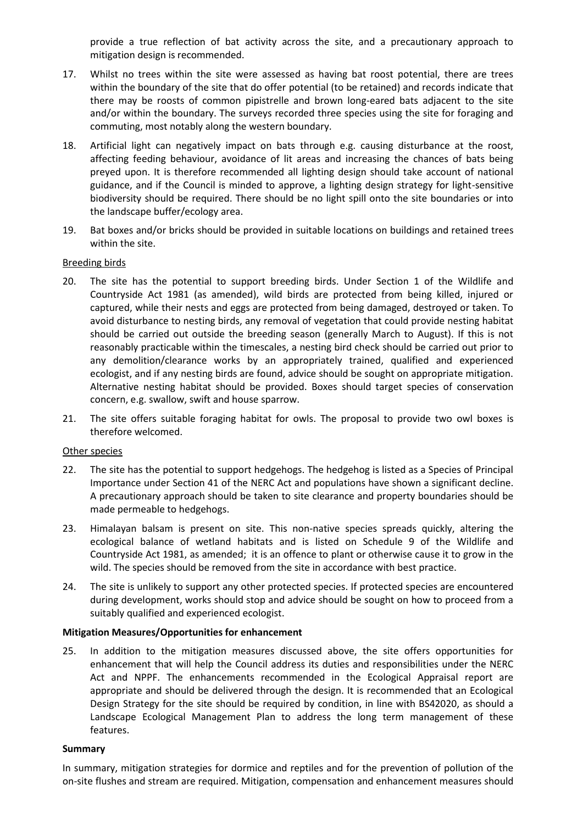provide a true reflection of bat activity across the site, and a precautionary approach to mitigation design is recommended.

- 17. Whilst no trees within the site were assessed as having bat roost potential, there are trees within the boundary of the site that do offer potential (to be retained) and records indicate that there may be roosts of common pipistrelle and brown long-eared bats adjacent to the site and/or within the boundary. The surveys recorded three species using the site for foraging and commuting, most notably along the western boundary.
- 18. Artificial light can negatively impact on bats through e.g. causing disturbance at the roost, affecting feeding behaviour, avoidance of lit areas and increasing the chances of bats being preyed upon. It is therefore recommended all lighting design should take account of national guidance, and if the Council is minded to approve, a lighting design strategy for light-sensitive biodiversity should be required. There should be no light spill onto the site boundaries or into the landscape buffer/ecology area.
- 19. Bat boxes and/or bricks should be provided in suitable locations on buildings and retained trees within the site.

### Breeding birds

- 20. The site has the potential to support breeding birds. Under Section 1 of the Wildlife and Countryside Act 1981 (as amended), wild birds are protected from being killed, injured or captured, while their nests and eggs are protected from being damaged, destroyed or taken. To avoid disturbance to nesting birds, any removal of vegetation that could provide nesting habitat should be carried out outside the breeding season (generally March to August). If this is not reasonably practicable within the timescales, a nesting bird check should be carried out prior to any demolition/clearance works by an appropriately trained, qualified and experienced ecologist, and if any nesting birds are found, advice should be sought on appropriate mitigation. Alternative nesting habitat should be provided. Boxes should target species of conservation concern, e.g. swallow, swift and house sparrow.
- 21. The site offers suitable foraging habitat for owls. The proposal to provide two owl boxes is therefore welcomed.

### Other species

- 22. The site has the potential to support hedgehogs. The hedgehog is listed as a Species of Principal Importance under Section 41 of the NERC Act and populations have shown a significant decline. A precautionary approach should be taken to site clearance and property boundaries should be made permeable to hedgehogs.
- 23. Himalayan balsam is present on site. This non-native species spreads quickly, altering the ecological balance of wetland habitats and is listed on Schedule 9 of the Wildlife and Countryside Act 1981, as amended; it is an offence to plant or otherwise cause it to grow in the wild. The species should be removed from the site in accordance with best practice.
- 24. The site is unlikely to support any other protected species. If protected species are encountered during development, works should stop and advice should be sought on how to proceed from a suitably qualified and experienced ecologist.

### **Mitigation Measures/Opportunities for enhancement**

25. In addition to the mitigation measures discussed above, the site offers opportunities for enhancement that will help the Council address its duties and responsibilities under the NERC Act and NPPF. The enhancements recommended in the Ecological Appraisal report are appropriate and should be delivered through the design. It is recommended that an Ecological Design Strategy for the site should be required by condition, in line with BS42020, as should a Landscape Ecological Management Plan to address the long term management of these features.

### **Summary**

In summary, mitigation strategies for dormice and reptiles and for the prevention of pollution of the on-site flushes and stream are required. Mitigation, compensation and enhancement measures should